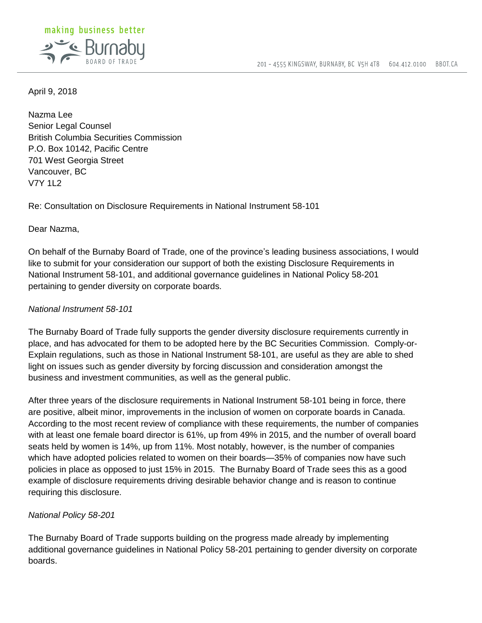

April 9, 2018

Nazma Lee Senior Legal Counsel British Columbia Securities Commission P.O. Box 10142, Pacific Centre 701 West Georgia Street Vancouver, BC V7Y 1L2

Re: Consultation on Disclosure Requirements in National Instrument 58-101

Dear Nazma,

On behalf of the Burnaby Board of Trade, one of the province's leading business associations, I would like to submit for your consideration our support of both the existing Disclosure Requirements in National Instrument 58-101, and additional governance guidelines in National Policy 58-201 pertaining to gender diversity on corporate boards.

## *National Instrument 58-101*

The Burnaby Board of Trade fully supports the gender diversity disclosure requirements currently in place, and has advocated for them to be adopted here by the BC Securities Commission. Comply-or-Explain regulations, such as those in National Instrument 58-101, are useful as they are able to shed light on issues such as gender diversity by forcing discussion and consideration amongst the business and investment communities, as well as the general public.

After three years of the disclosure requirements in National Instrument 58-101 being in force, there are positive, albeit minor, improvements in the inclusion of women on corporate boards in Canada. According to the most recent review of compliance with these requirements, the number of companies with at least one female board director is 61%, up from 49% in 2015, and the number of overall board seats held by women is 14%, up from 11%. Most notably, however, is the number of companies which have adopted policies related to women on their boards—35% of companies now have such policies in place as opposed to just 15% in 2015. The Burnaby Board of Trade sees this as a good example of disclosure requirements driving desirable behavior change and is reason to continue requiring this disclosure.

## *National Policy 58-201*

The Burnaby Board of Trade supports building on the progress made already by implementing additional governance guidelines in National Policy 58-201 pertaining to gender diversity on corporate boards.